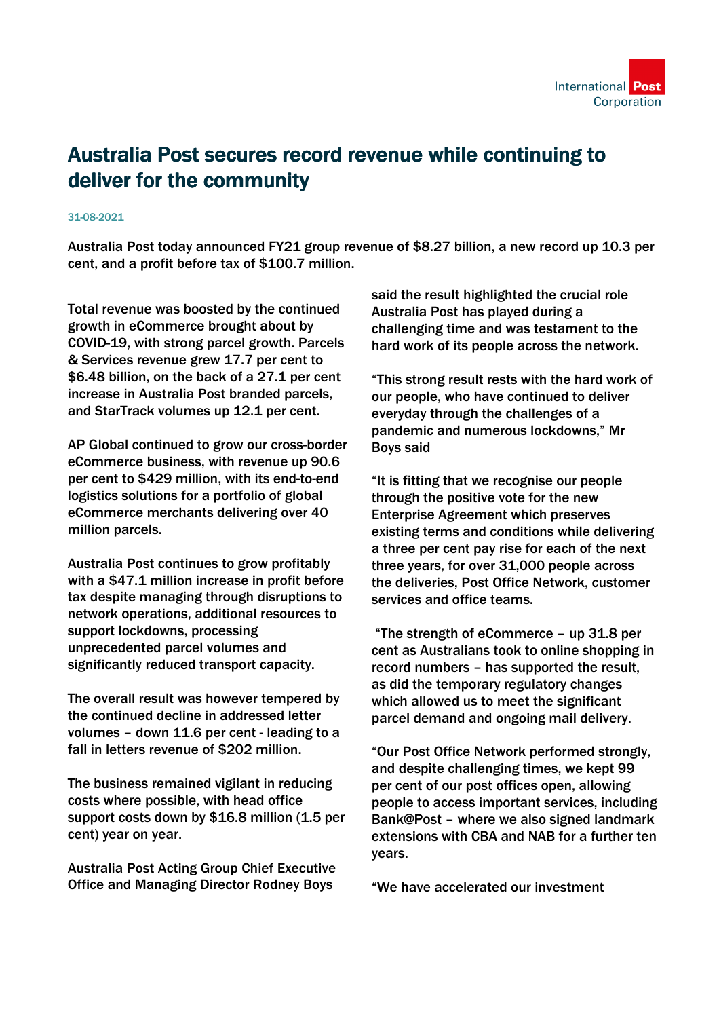

## Australia Post secures record revenue while continuing to deliver for the community

## 31-08-2021

Australia Post today announced FY21 group revenue of \$8.27 billion, a new record up 10.3 per cent, and a profit before tax of \$100.7 million.

Total revenue was boosted by the continued growth in eCommerce brought about by COVID-19, with strong parcel growth. Parcels & Services revenue grew 17.7 per cent to \$6.48 billion, on the back of a 27.1 per cent increase in Australia Post branded parcels, and StarTrack volumes up 12.1 per cent.

AP Global continued to grow our cross-border eCommerce business, with revenue up 90.6 per cent to \$429 million, with its end-to-end logistics solutions for a portfolio of global eCommerce merchants delivering over 40 million parcels.

Australia Post continues to grow profitably with a \$47.1 million increase in profit before tax despite managing through disruptions to network operations, additional resources to support lockdowns, processing unprecedented parcel volumes and significantly reduced transport capacity.

The overall result was however tempered by the continued decline in addressed letter volumes – down 11.6 per cent - leading to a fall in letters revenue of \$202 million.

The business remained vigilant in reducing costs where possible, with head office support costs down by \$16.8 million (1.5 per cent) year on year.

Australia Post Acting Group Chief Executive Office and Managing Director Rodney Boys

said the result highlighted the crucial role Australia Post has played during a challenging time and was testament to the hard work of its people across the network.

"This strong result rests with the hard work of our people, who have continued to deliver everyday through the challenges of a pandemic and numerous lockdowns," Mr Boys said

"It is fitting that we recognise our people through the positive vote for the new Enterprise Agreement which preserves existing terms and conditions while delivering a three per cent pay rise for each of the next three years, for over 31,000 people across the deliveries, Post Office Network, customer services and office teams.

 "The strength of eCommerce – up 31.8 per cent as Australians took to online shopping in record numbers – has supported the result, as did the temporary regulatory changes which allowed us to meet the significant parcel demand and ongoing mail delivery.

"Our Post Office Network performed strongly, and despite challenging times, we kept 99 per cent of our post offices open, allowing people to access important services, including Bank@Post – where we also signed landmark extensions with CBA and NAB for a further ten years.

"We have accelerated our investment